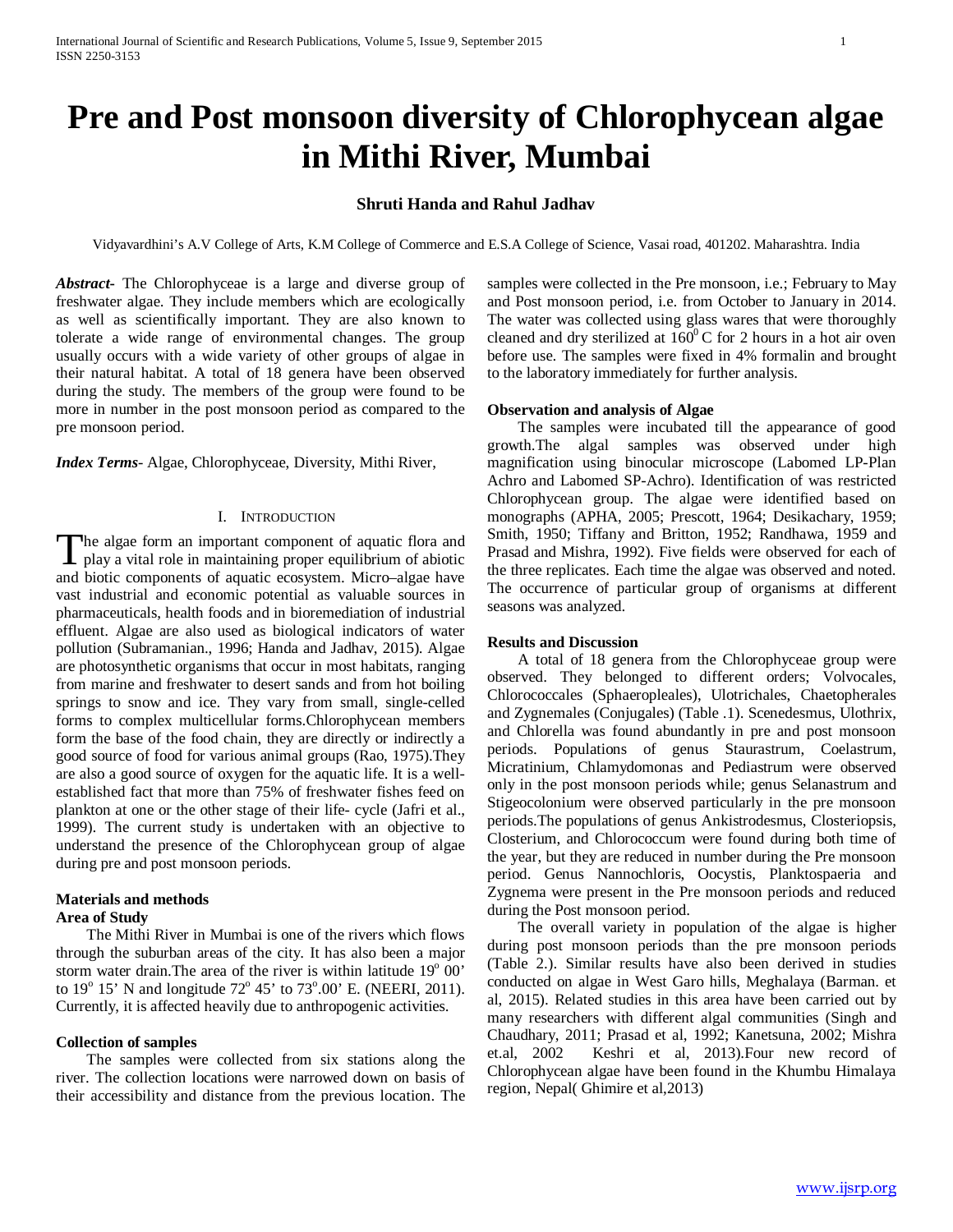# **Pre and Post monsoon diversity of Chlorophycean algae in Mithi River, Mumbai**

## **Shruti Handa and Rahul Jadhav**

Vidyavardhini's A.V College of Arts, K.M College of Commerce and E.S.A College of Science, Vasai road, 401202. Maharashtra. India

*Abstract***-** The Chlorophyceae is a large and diverse group of freshwater algae. They include members which are ecologically as well as scientifically important. They are also known to tolerate a wide range of environmental changes. The group usually occurs with a wide variety of other groups of algae in their natural habitat. A total of 18 genera have been observed during the study. The members of the group were found to be more in number in the post monsoon period as compared to the pre monsoon period.

*Index Terms*- Algae, Chlorophyceae, Diversity, Mithi River,

#### I. INTRODUCTION

he algae form an important component of aquatic flora and The algae form an important component of aquatic flora and play a vital role in maintaining proper equilibrium of abiotic and his view of the state of the state of the state of the state of the state of the state of the st and biotic components of aquatic ecosystem. Micro–algae have vast industrial and economic potential as valuable sources in pharmaceuticals, health foods and in bioremediation of industrial effluent. Algae are also used as biological indicators of water pollution (Subramanian., 1996; Handa and Jadhav, 2015). Algae are photosynthetic organisms that occur in most habitats, ranging from marine and freshwater to desert sands and from hot boiling springs to snow and ice. They vary from small, single-celled forms to complex multicellular forms.Chlorophycean members form the base of the food chain, they are directly or indirectly a good source of food for various animal groups (Rao, 1975).They are also a good source of oxygen for the aquatic life. It is a wellestablished fact that more than 75% of freshwater fishes feed on plankton at one or the other stage of their life- cycle (Jafri et al., 1999). The current study is undertaken with an objective to understand the presence of the Chlorophycean group of algae during pre and post monsoon periods.

#### **Materials and methods Area of Study**

 The Mithi River in Mumbai is one of the rivers which flows through the suburban areas of the city. It has also been a major storm water drain. The area of the river is within latitude  $19^{\circ}$  00' to  $19^{\circ}$  15' N and longitude  $72^{\circ}$  45' to  $73^{\circ}$ .00' E. (NEERI, 2011). Currently, it is affected heavily due to anthropogenic activities.

#### **Collection of samples**

 The samples were collected from six stations along the river. The collection locations were narrowed down on basis of their accessibility and distance from the previous location. The samples were collected in the Pre monsoon, i.e.; February to May and Post monsoon period, i.e. from October to January in 2014. The water was collected using glass wares that were thoroughly cleaned and dry sterilized at  $160^{\circ}$ C for 2 hours in a hot air oven before use. The samples were fixed in 4% formalin and brought to the laboratory immediately for further analysis.

#### **Observation and analysis of Algae**

 The samples were incubated till the appearance of good growth.The algal samples was observed under high magnification using binocular microscope (Labomed LP-Plan Achro and Labomed SP-Achro). Identification of was restricted Chlorophycean group. The algae were identified based on monographs (APHA, 2005; Prescott, 1964; Desikachary, 1959; Smith, 1950; Tiffany and Britton, 1952; Randhawa, 1959 and Prasad and Mishra, 1992). Five fields were observed for each of the three replicates. Each time the algae was observed and noted. The occurrence of particular group of organisms at different seasons was analyzed.

### **Results and Discussion**

 A total of 18 genera from the Chlorophyceae group were observed. They belonged to different orders; Volvocales, Chlorococcales (Sphaeropleales), Ulotrichales, Chaetopherales and Zygnemales (Conjugales) (Table .1). Scenedesmus, Ulothrix, and Chlorella was found abundantly in pre and post monsoon periods. Populations of genus Staurastrum, Coelastrum, Micratinium, Chlamydomonas and Pediastrum were observed only in the post monsoon periods while; genus Selanastrum and Stigeocolonium were observed particularly in the pre monsoon periods.The populations of genus Ankistrodesmus, Closteriopsis, Closterium, and Chlorococcum were found during both time of the year, but they are reduced in number during the Pre monsoon period. Genus Nannochloris, Oocystis, Planktospaeria and Zygnema were present in the Pre monsoon periods and reduced during the Post monsoon period.

 The overall variety in population of the algae is higher during post monsoon periods than the pre monsoon periods (Table 2.). Similar results have also been derived in studies conducted on algae in West Garo hills, Meghalaya (Barman. et al, 2015). Related studies in this area have been carried out by many researchers with different algal communities (Singh and Chaudhary, 2011; Prasad et al, 1992; Kanetsuna, 2002; Mishra Keshri et al, 2013).Four new record of Chlorophycean algae have been found in the Khumbu Himalaya region, Nepal( Ghimire et al,2013)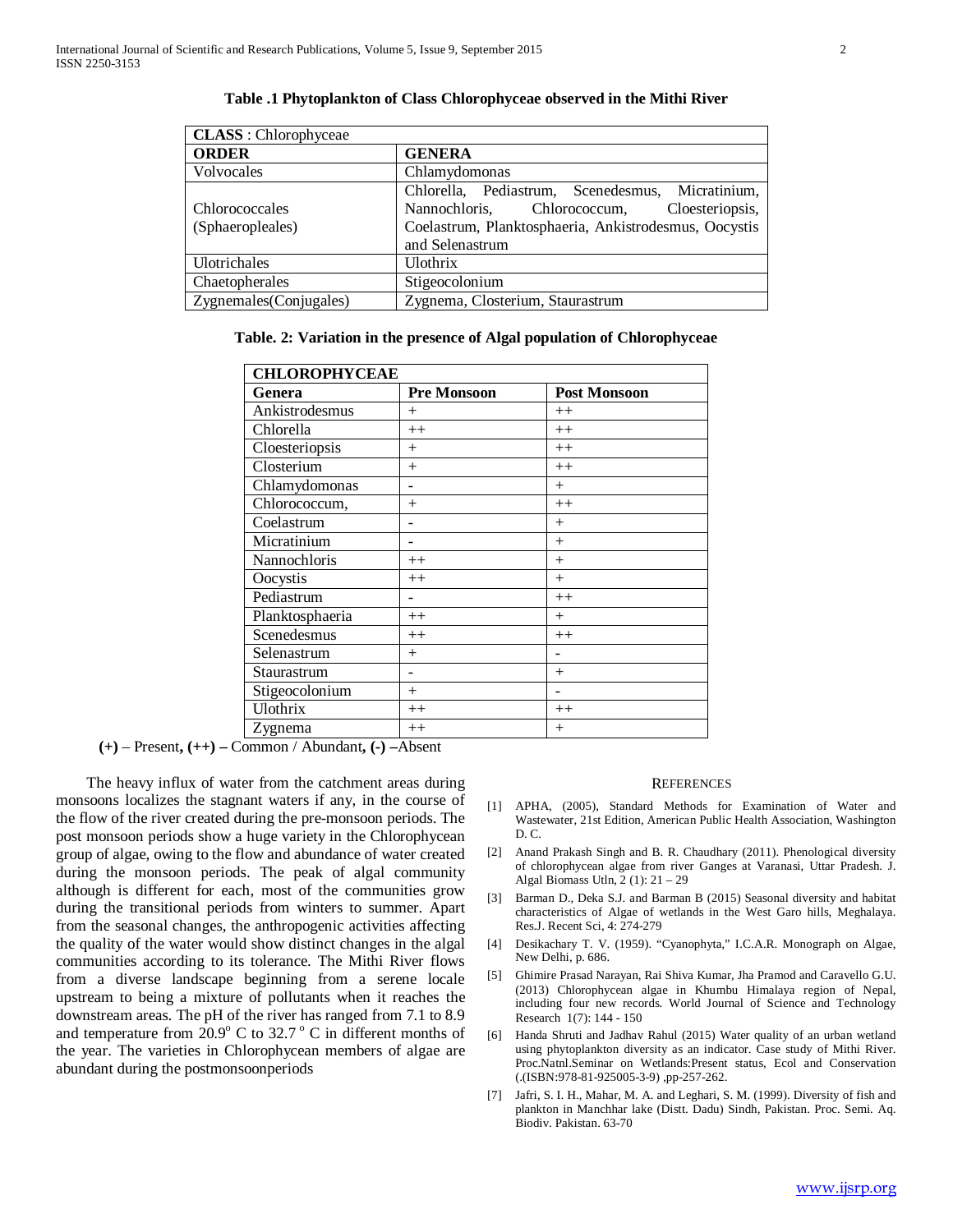| <b>CLASS</b> : Chlorophyceae |                                                       |  |
|------------------------------|-------------------------------------------------------|--|
| <b>ORDER</b>                 | <b>GENERA</b>                                         |  |
| Volvocales                   | Chlamydomonas                                         |  |
|                              | Chlorella, Pediastrum, Scenedesmus, Micratinium,      |  |
| Chlorococcales               | Cloesteriopsis,<br>Nannochloris,<br>Chlorococcum,     |  |
| (Sphaeropleales)             | Coelastrum, Planktosphaeria, Ankistrodesmus, Oocystis |  |
|                              | and Selenastrum                                       |  |
| Ulotrichales                 | <b>Ulothrix</b>                                       |  |
| Chaetopherales               | Stigeocolonium                                        |  |
| Zygnemales (Conjugales)      | Zygnema, Closterium, Staurastrum                      |  |

#### **Table .1 Phytoplankton of Class Chlorophyceae observed in the Mithi River**

**Table. 2: Variation in the presence of Algal population of Chlorophyceae**

| <b>CHLOROPHYCEAE</b> |                    |                     |
|----------------------|--------------------|---------------------|
| Genera               | <b>Pre Monsoon</b> | <b>Post Monsoon</b> |
| Ankistrodesmus       | $^{+}$             | $++$                |
| Chlorella            | $++$               | $++$                |
| Cloesteriopsis       | $^{+}$             | $++$                |
| Closterium           | $^{+}$             | $++$                |
| Chlamydomonas        |                    | $^{+}$              |
| Chlorococcum,        | $^{+}$             | $++$                |
| Coelastrum           |                    | $^{+}$              |
| Micratinium          |                    | $^{+}$              |
| Nannochloris         | $++$               | $^{+}$              |
| Oocystis             | $++$               | $^{+}$              |
| Pediastrum           |                    | $++$                |
| Planktosphaeria      | $++$               | $^{+}$              |
| Scenedesmus          | $++$               | $++$                |
| Selenastrum          | $^{+}$             |                     |
| Staurastrum          |                    | $^{+}$              |
| Stigeocolonium       | $^{+}$             |                     |
| Ulothrix             | $++$               | $++$                |
| Zygnema              | $^{++}$            | $^{+}$              |

 **(+)** – Present**, (++) –** Common / Abundant**, (-) –**Absent

 The heavy influx of water from the catchment areas during monsoons localizes the stagnant waters if any, in the course of the flow of the river created during the pre-monsoon periods. The post monsoon periods show a huge variety in the Chlorophycean group of algae, owing to the flow and abundance of water created during the monsoon periods. The peak of algal community although is different for each, most of the communities grow during the transitional periods from winters to summer. Apart from the seasonal changes, the anthropogenic activities affecting the quality of the water would show distinct changes in the algal communities according to its tolerance. The Mithi River flows from a diverse landscape beginning from a serene locale upstream to being a mixture of pollutants when it reaches the downstream areas. The pH of the river has ranged from 7.1 to 8.9 and temperature from  $20.9^{\circ}$  C to  $32.7^{\circ}$  C in different months of the year. The varieties in Chlorophycean members of algae are abundant during the postmonsoonperiods

#### **REFERENCES**

- [1] APHA, (2005), Standard Methods for Examination of Water and Wastewater, 21st Edition, American Public Health Association, Washington D. C.
- [2] Anand Prakash Singh and B. R. Chaudhary (2011). Phenological diversity of chlorophycean algae from river Ganges at Varanasi, Uttar Pradesh. J. Algal Biomass Utln, 2 (1): 21 – 29
- [3] Barman D., Deka S.J. and Barman B (2015) Seasonal diversity and habitat characteristics of Algae of wetlands in the West Garo hills, Meghalaya. Res.J. Recent Sci, 4: 274-279
- [4] Desikachary T. V. (1959). "Cyanophyta," I.C.A.R. Monograph on Algae, New Delhi, p. 686.
- [5] Ghimire Prasad Narayan, Rai Shiva Kumar, Jha Pramod and Caravello G.U. (2013) Chlorophycean algae in Khumbu Himalaya region of Nepal, including four new records. World Journal of Science and Technology Research 1(7): 144 - 150
- [6] Handa Shruti and Jadhav Rahul (2015) Water quality of an urban wetland using phytoplankton diversity as an indicator. Case study of Mithi River. Proc.Natnl.Seminar on Wetlands:Present status, Ecol and Conservation (.(ISBN:978-81-925005-3-9) ,pp-257-262.
- [7] Jafri, S. I. H., Mahar, M. A. and Leghari, S. M. (1999). Diversity of fish and plankton in Manchhar lake (Distt. Dadu) Sindh, Pakistan. Proc. Semi. Aq. Biodiv. Pakistan. 63-70